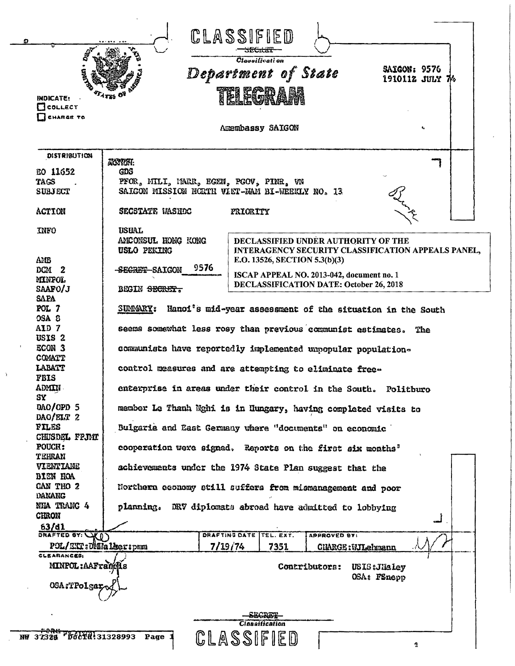|                                           | CLASSIFIED                                                                                                                                     |  |  |
|-------------------------------------------|------------------------------------------------------------------------------------------------------------------------------------------------|--|--|
|                                           | Classification<br>SAIGON: 9576<br>Department of State<br>1910112 JULY 76<br>TELECORAS                                                          |  |  |
| <b>INDICATE:</b><br>$\Box$ collect        |                                                                                                                                                |  |  |
| CHARGE TO                                 | Amembassy SAIGON                                                                                                                               |  |  |
|                                           |                                                                                                                                                |  |  |
| <b>DISTRIBUTION</b>                       | ACCYCRT:                                                                                                                                       |  |  |
| EO 11652<br>TAGS                          | GDS<br>PFOR, MILI, MARR, EGEN, PGOV, PINR, VN                                                                                                  |  |  |
| <b>SUBJECT</b>                            | SAIGON MISSION NORTH VIET-NAM BI-WEEKLY NO. 13                                                                                                 |  |  |
| <b>ACTION</b>                             | SECSTATE WASHOC<br>PRIORITY                                                                                                                    |  |  |
| <b>INFO</b><br>AMB                        | <b>USUAL</b><br>ANCONSUL HONG KONG<br>DECLASSIFIED UNDER AUTHORITY OF THE<br>USLO PEKING<br>INTERAGENCY SECURITY CLASSIFICATION APPEALS PANEL, |  |  |
| DCM <sub>2</sub>                          | E.O. 13526, SECTION 5.3(b)(3)<br>9576<br>-SECRET-SAIGON                                                                                        |  |  |
| <b>MINPOL</b><br>SAAFO/J                  | ISCAP APPEAL NO. 2013-042, document no. 1<br>DECLASSIFICATION DATE: October 26, 2018<br>BEGIN SECRET.                                          |  |  |
| <b>SAPA</b><br>POL <sub>7</sub>           | Hanoi's mid-year assessment of the situation in the South<br><b>SUMMARY:</b>                                                                   |  |  |
| OSA <sub>8</sub><br>AID 7                 | seems somewhat less rosy than previous communist estimates.<br>The                                                                             |  |  |
| USIS <sub>2</sub><br>ECON 3<br>COMATT     | communists have reportedly implemented unpopular population-                                                                                   |  |  |
| LABATT<br><b>FBIS</b>                     | control measures and are attempting to eliminate free-                                                                                         |  |  |
| ADMIN<br>SY                               | enterorise in areas under their control in the South. Politburo                                                                                |  |  |
| DAO/OPD 5<br>$DAO/ELT$ 2                  | member Le Thanh Nghi is in Hungary, having completed visits to                                                                                 |  |  |
| FILES<br>CHUSDEL FPJMT<br>POUCH:          | Bulgaria and East Germany where "documents" on economic                                                                                        |  |  |
| TEHRAN<br>VIENTIANE                       | cooperation were signed. Reports on the first six months"<br>achievements under the 1974 State Plan suggest that the                           |  |  |
| BIEN HOA<br>CAN THO 2                     | Northern economy still suffers from mismanagement and poor                                                                                     |  |  |
| DANANG<br>NHA TRANG 4                     | planning. DRV diplomats abroad have admitted to lobbying                                                                                       |  |  |
| <b>CHRON</b><br>63/d1                     |                                                                                                                                                |  |  |
| DRAFTED BY: VO)<br>POL/ETT: OMMaleer: pmm | DRAFTING DATE TEL. EXT.<br><b>APPROVED BY:</b><br>7/19/74<br>7351<br><b>CHARGE: WILehrann</b>                                                  |  |  |
| CLEARANCES:<br>MINPOL: AAFrancus          | Contributors: USIS: JHaley                                                                                                                     |  |  |
| OSA:TPolgar                               | OSA: FSnepp                                                                                                                                    |  |  |
|                                           |                                                                                                                                                |  |  |
|                                           | <b>Classification</b>                                                                                                                          |  |  |
| NW 37328 "DocTH! 31328993                 | CLASSIFIED<br>Page<br>췊                                                                                                                        |  |  |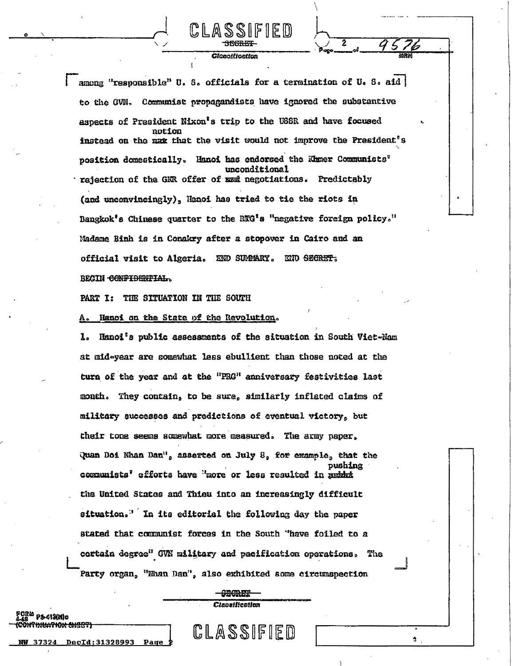among "responsible" U. S. officials for a termination of U. S. aid to the GVN. Communist propagandists have ignored the substantive aspects of President Nixon's trip to the USSR and have focused notion instead on the wax that the visit would not improve the President's position domestically. Hanoi has endorsed the Khmer Communists<sup>?</sup> unconditional rejection of the GKR offer of EER negotiations. Predictably (and unconvincingly), Henoi has tried to tie the riots in Bangkok's Chinese quarter to the RTG's "negative foreign policy." Madame Binh is in Conakry after a stopover in Cairo and an official visit to Algeria. END SUMMARY. END SECRET. BEGIN CONFIDENTIAL.

1881

**Glonalfication** 

PART I: THE SITUATION IN THE SOUTH

<sup>ርያል</sup> የ⊁413(M)o

N<del>uathon Lheep</del>

DocTd:31328993

Pam

Hanoi on the State of the Revolution.

ı. Hanoi's public assessments of the situation in South Viet-Nam at mid-year are somewhat less ebullient than those noted at the turn of the year and at the "PRG" anniversary festivities last month. They contain, to be sure, similarly inflated claims of military successes and predictions of eventual victory, but their tone seems somewhat more measured. The army paper, Quan Doi Nhan Dan", asserted on July 8, for example, that the pushing communists' efforts have "more or less resulted in public the United States and Thieu into an increasingly difficult situation." In its editorial the following day the paper stated that communist forces in the South "have foiled to a certain degree" GVN military and pacification operations. The Party organ, "Nhan Dan", also exhibited some circumspection

> <del>- CECRET</del> **Cinnetfication**

CLASSIFIED

Ĵ.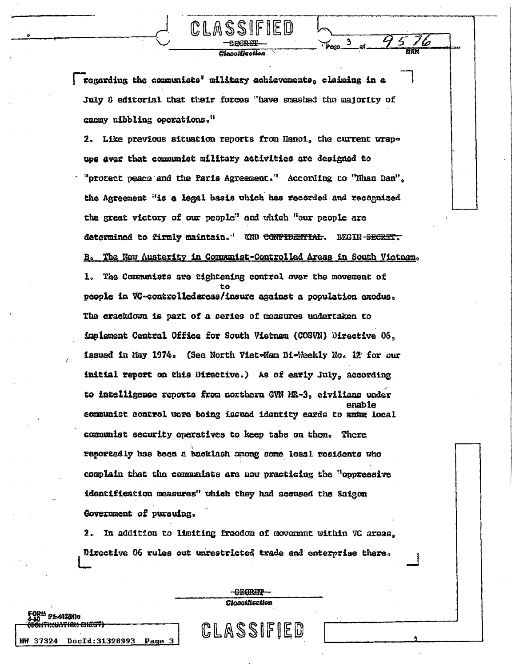regarding the communists' military achievements, claiming in a July 8 editorial that their forces "have smashed the majority of enemy nibbling operations."

**CleonWeatles** 

 $\mathbf{3}$ 

CLASS

2. Like previous situation reports from Hanoi, the current wrapups aver that communist military activities are designed to "protect peace and the Paris Agreement." According to "Nhan Dan", the Agreement "is a legal basis which has recorded and recognized the great victory of our people" and vhich "our people are determined to firmly maintain." WND CONFIDENTIAL. BEGIN-SECRET. The New Austerity in Communist-Controlled Areas in South Victnam.  $B<sub>o</sub>$ The Communists are tightening control over the movement of  $\mathbf{I}$ . people in VC-controlledereas/insure against a population exodus. The crackdown is part of a series of measures undertaken to implement Central Office for South Vietnam (COSVN) Directive 06, issued in May 1974. (See North Viet-Nam Bi-Weekly No. 12 for our initial report on this Directive.) As of early July, according to intelligence reports from northern GVN NR-3, civilians under enable communist control were being issued identity cards to make local communist security operatives to keep tabs on them. There reportedly has been a backlash among some local residents who complain that the communists are now practicing the "oppressive identification measures" which they had accused the Saigon Government of pursuing.

2. In addition to limiting freedom of movement within VC areas. Directive 06 rules out unrestricted trade and enterprise there.

> **CECRET Closoffication**

CLASSIFIED

**ATION SHEET** 

eorm <sub>Floi</sub>scido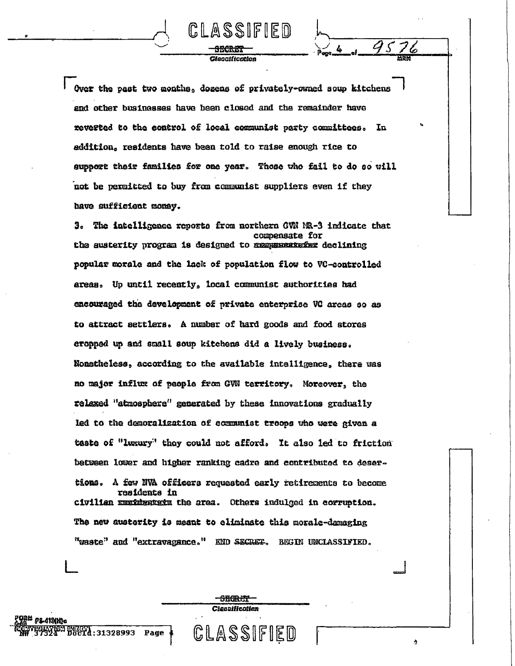Over the past two months, dozens of privately-owned soup kitchens and other businesses have been closed and the remainder have reverted to the control of local communist party committees. In addition, residents have been told to raise enough rice to support their families for one year. Those who fail to do so will not be permitted to buy from communist suppliers even if they have sufficient money.

CLASSIFIED

<del>3128.87</del> *Hannification*   $\frac{1}{2}$ 

3. The intelligence reports from northern GWN NR-3 indicate that compensate for the austerity program is designed to remembershed declining popular morale and the lack of population flow to VC-controlled areas. Up until recently, local communist authorities had encouraged the development of private enterprise VC areas so as to attract settlers. A number of hard goods and food stores eropped up and small soup kitchens did a lively business. Nonatheless, according to the available intalligence, there was no major influx of people from GVN territory. Moreover, the relaxed "atmosphere" generated by these innovations gradually led to the demoralization of communist troops who were given a taste of "luxury" they could not afford. It also led to friction between lower and higher ranking cadre and contributed to desertions. A few NVA officers requested early retirements to become residents in civilian manimanism the area. Others indulged in corruption. The new austerity is meant to eliminate this morale-damaging "waste" and "extravagance." END SECRET. BEGIN UNCLASSIFIED.

> **SEGRET** Clessification

CLASSIFIED

-419110c

AY (62) SMGRY<br>124° DOCTd: 31328993 Page 4

Ą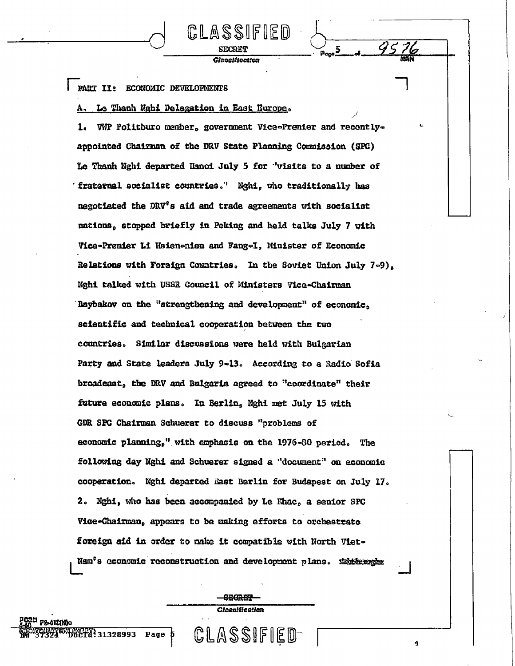PART II: ECONOMIC DEVELOPMENTS

## Le Thanh Nghi Delegation in East Europe.

WMP Politburo member, government Vice-Premier and recontly-1. appointed Chairman of the DRV State Planning Commission (SPC) Le Thanh Nghi departed Hanoi July 5 for "visits to a number of fraternal socialist countries." Nghi, who traditionally has negotiated the DRV's aid and trade agreements with socialist nations, stopped briefly in Peking and held talks July 7 with Vice-Premier Li Hsien-nien and Fang-I, Minister of Economic Relations with Foreign Comatries. In the Soviet Union July 7-9). Nghi talked with USSR Council of Ministers Vice-Chairman Baybakov on the "strengthening and development" of economic. scientific and technical cooperation between the two countries. Similar discussions were held with Bulgarian Party and State leaders July 9-13. According to a Radio Sofia broadcast, the DRV and Bulgaria agreed to "coordinate" their future economic plans. In Berlin, Nghi met July 15 with GDR SPC Chairman Schuerer to discuss "problems of economic planning," with emphasis on the 1976-80 period. The following day Nghi and Schuerer signed a "document" on economic cooperation. Nghi departed East Berlin for Budapest on July 17. 2. Nghi, who has been accompanied by Le Khac, a senior SPC Vice-Chairman, appears to be making efforts to orchestrate foreign aid in order to make it compatible with North Viet-Nam<sup>'</sup>s cconomic reconstruction and development plans. Additional

CLASSIFIED

**Glacattication** 

**SEGRET** Cloentication

CLASSIFIED

ģ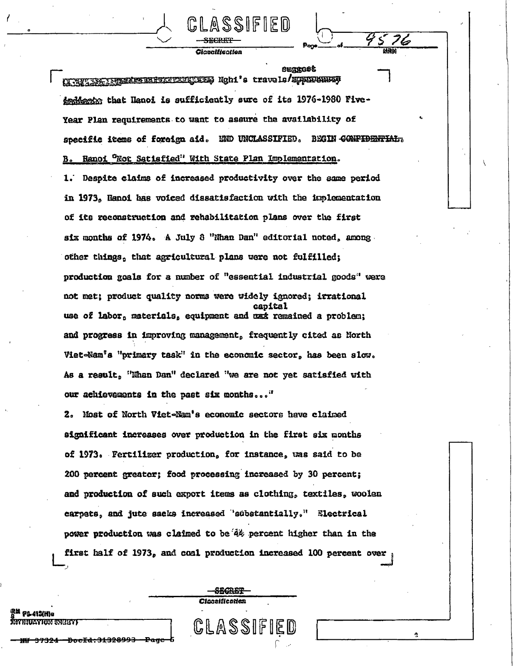**OURROOL** NTHETIC ISSUES ENFOLFITEES Ngh1's travels/EPPIREMENT deddeets that Hanoi is sufficiently sure of its 1976-1980 Five-Year Plan requirements to want to assure the availability of specific items of foreign aid. END UNCLASSIFIED. BEGIN CONFIDENTIAL. Ranoi "Not Satisfied" With State Plan Implementation. 1. Despite claims of increased productivity over the same period in 1973, Hanoi has voiced dissatisfaction with the implementation of its reconstruction and rehabilitation plans over the first six months of 1974. A July 8 "Nhan Dan" editorial noted, among. other things, that agricultural plans were not fulfilled; production goals for a number of "essential industrial goods" were not met; product quality norms were widely ignored; irrational canital use of labor, materials, equipment and max remained a problem; and progress in improving management, frequently cited as North Viet-Nam<sup>1</sup>s "primary task" in the economic sector, has been slow. As a result, "Nhan Dan" declared "we are not yet satisfied with our achievements in the past six months..."

SSIFIED

Cinanification

76

Ą

2. Most of North Viet-Nam's economic sectors have claimed significant increases over production in the first six months of 1973. Fertilizer production, for instance, was said to be 200 percent greater; food processing increased by 30 percent; and production of such export items as clothing, textiles, woolen carpets, and jute sacks increased 'substantially." Electrical power production was claimed to be 4% percent higher than in the first half of 1973, and coal production increased 100 percent over

> <del>SEGRET</del> Clanaification

CLASSIFIED

**CAN WAIGHT**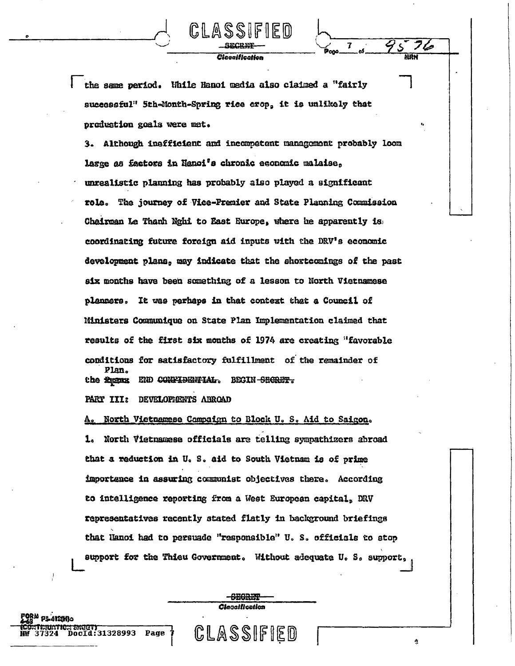the same period. While Hanoi media also claimed a "fairly successful" 5th-Month-Spring rice crop, it is unlikely that produstion goals were met.

Cleonification

7

3. Although insfficient and incompetent management probably loom large as factors in Nanoi's chronic economic malaise, unrealistic planning has probably also played a significant role. The journey of Vice-Premier and State Planning Commission Chairman Le Thanh Nghi to East Europe, where he apparently is coordinating future foreign aid inputs with the DRV's economic development plans, may indicate that the shortcomings of the past six months have been something of a lesson to North Vietnamese planners. It was perhaps in that context that a Council of Ministers Communique on State Plan Implementation claimed that results of the first six months of 1974 are creating "favorable conditions for satisfactory fulfillment of the remainder of Plan. END CONFIDENTIAL. BEGIN-SEGRET. the figure.

PART III: DEVELOPIENTS ABROAD

Page

IC ATSIMA

DocId:31328993

North Vietnamese Compaign to Block U. S. Aid to Saigon. 1. North Vietnamese officials are telling sympathizers abroad that a reduction in U. S. aid to South Vietnam is of prime importance in assuring communist objectives there. According to intelligence reporting from a West European capital, DRV representatives recently stated flatly in background briefings that Hanoi had to persuade "responsible" U. S. officials to stop support for the Thieu Government. Without adequate U. S. support,

> <del>- CECRIS</del> Cleasification

CLASSIFIED

Ą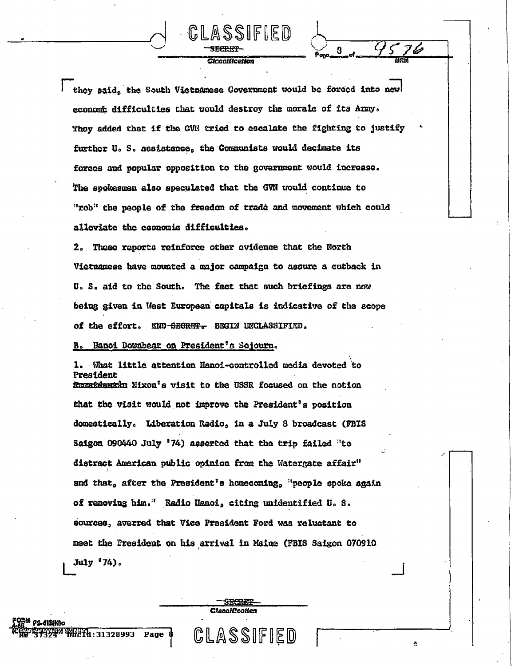they said, the South Victuanese Government would be forced into new economic difficulties that would destroy the morale of its Army. They added that if the GVN tried to escalate the fighting to justify further U.S. assistance, the Communists would decimate its forces and popular opposition to the government would increase. The spokesmen also speculated that the GWN would continue to "rob" the people of the freedom of trade and movement which could alleviate the economic difficulties.

CLASSIFIED

**Glocolfication** 

8

2. These reports reinforce other evidence that the North Vietnamese have mounted a major campaign to assure a cutback in U. S. aid to the South. The fact that such briefings are now being given in West European capitals is indicative of the scope of the effort. END-SEGRET. BEGIN UNCLASSIFIED.

## B. Hanoi Downbeat on President's Sojourn.

What little attention Hanoi-controlled media devoted to  $1 -$ President Exergidentic Nixon's visit to the USSR focused on the notion that the visit would not improve the President's position domestically. Liberation Radio, in a July 8 broadcast (FBIS Saigon 090440 July '74) asserted that the trip failed "to distract American public opinion from the Watergate affair" and that, after the President's homecoming, "people spoke again of removing him." Radio Hanoi, citing unidentified U.S. sources, averred that Vice President Ford was reluctant to meet the President on his arrival in Maine (FBIS Saigon 070910 July '74).

> SECRET **Cleanification**

CLASSIFIED

Ą

Page \$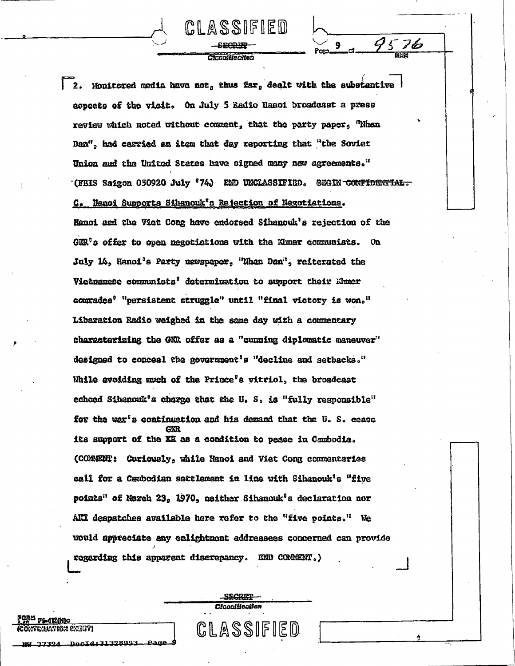Cinonisterstoc

GLASSIFIED

76

9

2. Monitored media have not, thus far, dealt with the substantive aepects of the visit. On July 5 Redio Hanoi broadcast a press review which noted without comment, that the party paper, "Nhan Dan", had casried an item that day reporting that "the Soviet Union and the United States have signed many new agreements." (FBIS Saigon 050920 July '74) END UNCLASSIFIED. SEGIN CONFIDENTIAL. C. Hanoi Supports Sihanouk's Rejection of Negotiations. Hanoi and the Viet Cong have endorsed Sihanouk's rejection of the  $G\mathbb{R}^n$ s offer to open negotiations with the Khmer communists. On July 14, Hanoi's Party newspaper, "Nhan Dan", reiterated the Vietnamese communists' determination to support their Khmer comrades<sup>0</sup> "persistent struggle" until "final victory is won." Liberation Radio weighed in the same day with a commentary characterizing the GKR offer as a "cunning diplomatic maneuver" designed to conceal the government's "decline and setbacks." While avoiding much of the Prince's vitriol, the broadcast echoed Sibenouk's charge that the U.S. is "fully responsible" for the war's continuation and his demand that the U.S. cease its support of the KK as a condition to peace in Cambodia. (COMERNI: Curiously, while Hanoi and Viet Cong commentaries call for a Cambodian settlement in line with Sihanouk's "five points" of March 23, 1970, neither Sihanouk's declaration nor AKI despatches available here refer to the "five points." We would appreciate any enlightment addressees concerned can provide regarding this apparent discrepancy. END COMMENT.)

> SECRET Clocoliscotion

CLASSIFIED

PS 4121M10

**PINUAPIGM EXECUTI** 

DocId:31328993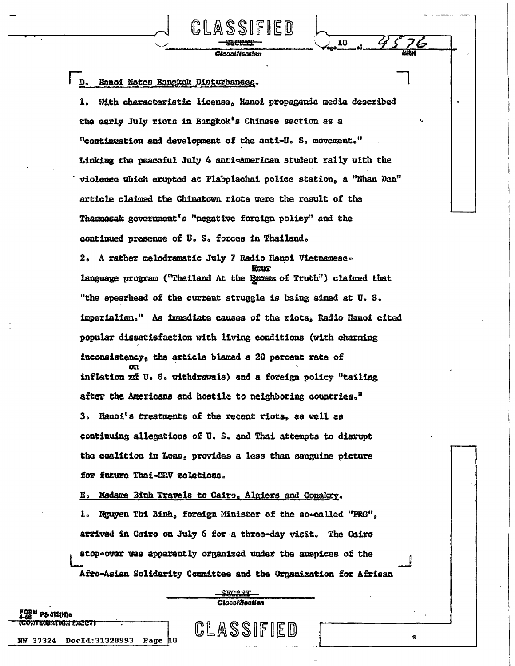## D. Hanoi Notes Bangkok Disturbances.

With characteristic license, Hanoi propaganda media described the early July riots in Bangkok's Chinese section as a "continuation and development of the anti-U. S. movement." Linking the peacoful July 4 anti-American student rally with the violence which erupted at Plabplachai police station, a "Nhan Dan" article claimed the Chinatown riots were the result of the Thammasak government's "negative foreign policy" and the continued presence of U. S. forces in Thailand.

Gionaliicatist

10

2. A rather melodramatic July 7 Radio Hanoi Vietnamese-Wear language program ("Thailand At the Essas of Truth") claimed that "the spearhead of the current struggle is being aimed at U.S. imperialism." As immediate causes of the riots, Radio Hanoi cited popular dissatisfaction with living conditions (with charming inconsistency, the article blamed a 20 percent rate of inflation me U.S. withdrawals) and a foreign policy "tailing after the Americans and hostile to neighboring countries." 3. Hanoi<sup>0</sup>s treatments of the recent riots, as well as continuing allegations of U.S. and Thai attempts to disrupt the coalition in Loas, provides a less than sanguine picture for future Thai-DRV relations.

## E. Madame Binh Travels to Cairo, Algiers and Conakry.

PS 4121Me **MATICA ENGET** 

**NW 37324** 

DocId: 31328993

Page

Nguyen Thi Binh, foreign Minister of the so-called "FRG", ı. arrived in Cairo on July 6 for a three-day visit. The Cairo stop-over was apparently organized under the auspices of the Afro-Asian Solidarity Committee and the Organization for African

> **SECRET** Clossification

CLASSIFIED

ė